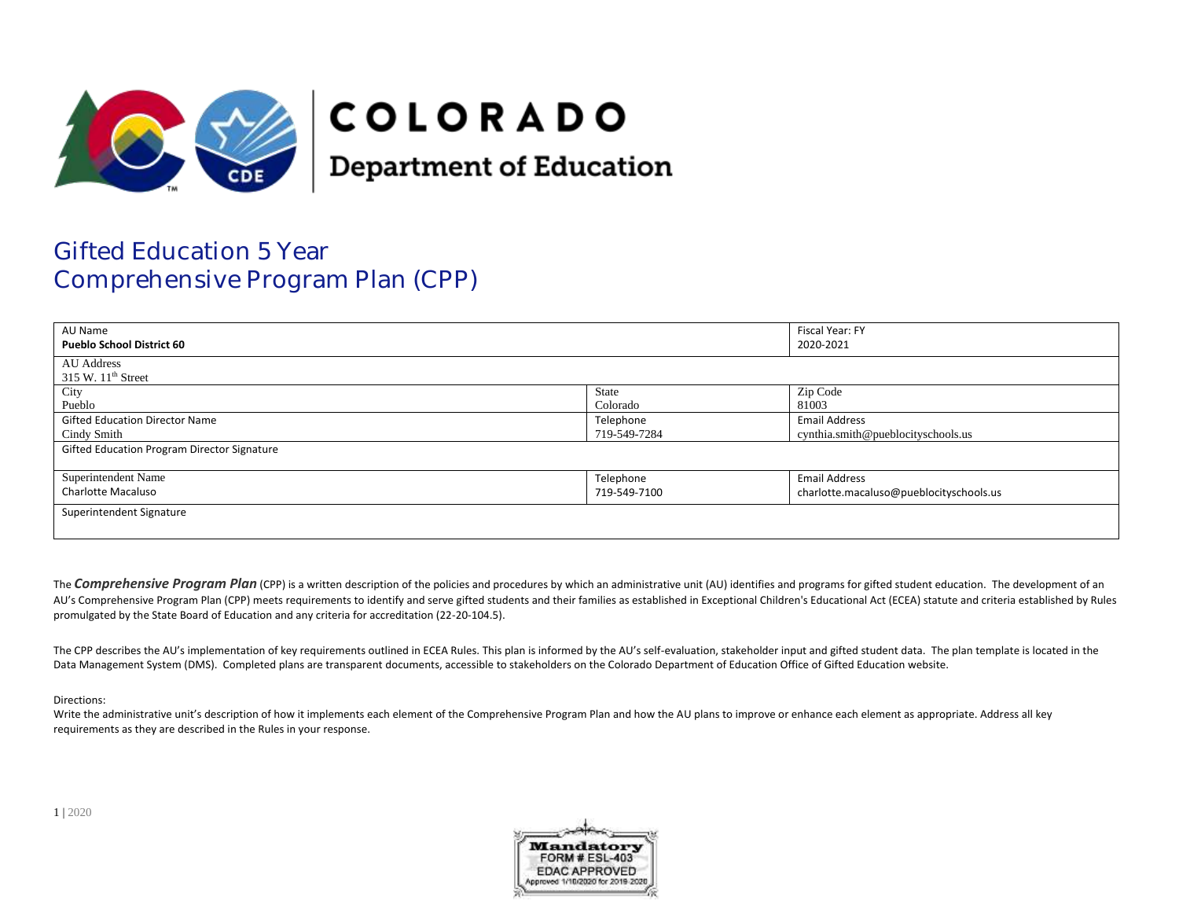

# **COLORADO**

**Department of Education** 

## Gifted Education 5 Year Comprehensive Program Plan (CPP)

| AU Name<br><b>Pueblo School District 60</b> |              | Fiscal Year: FY<br>2020-2021            |  |
|---------------------------------------------|--------------|-----------------------------------------|--|
| <b>AU</b> Address<br>$315$ W. $11th$ Street |              |                                         |  |
| City                                        | State        | Zip Code                                |  |
| Pueblo                                      | Colorado     | 81003                                   |  |
| <b>Gifted Education Director Name</b>       | Telephone    | <b>Email Address</b>                    |  |
| Cindy Smith                                 | 719-549-7284 | cynthia.smith@pueblocityschools.us      |  |
| Gifted Education Program Director Signature |              |                                         |  |
| Superintendent Name                         | Telephone    | <b>Email Address</b>                    |  |
| <b>Charlotte Macaluso</b>                   | 719-549-7100 | charlotte.macaluso@pueblocityschools.us |  |
| Superintendent Signature                    |              |                                         |  |

The **Comprehensive Program Plan** (CPP) is a written description of the policies and procedures by which an administrative unit (AU) identifies and programs for gifted student education. The development of an AU's Comprehensive Program Plan (CPP) meets requirements to identify and serve gifted students and their families as established in Exceptional Children's Educational Act (ECEA) statute and criteria established by Rules promulgated by the State Board of Education and any criteria for accreditation (22-20-104.5).

The CPP describes the AU's implementation of key requirements outlined in ECEA Rules. This plan is informed by the AU's self-evaluation, stakeholder input and gifted student data. The plan template is located in the Data Management System (DMS). Completed plans are transparent documents, accessible to stakeholders on the Colorado Department of Education Office of Gifted Education website.

#### Directions:

Write the administrative unit's description of how it implements each element of the Comprehensive Program Plan and how the AU plans to improve or enhance each element as appropriate. Address all key requirements as they are described in the Rules in your response.

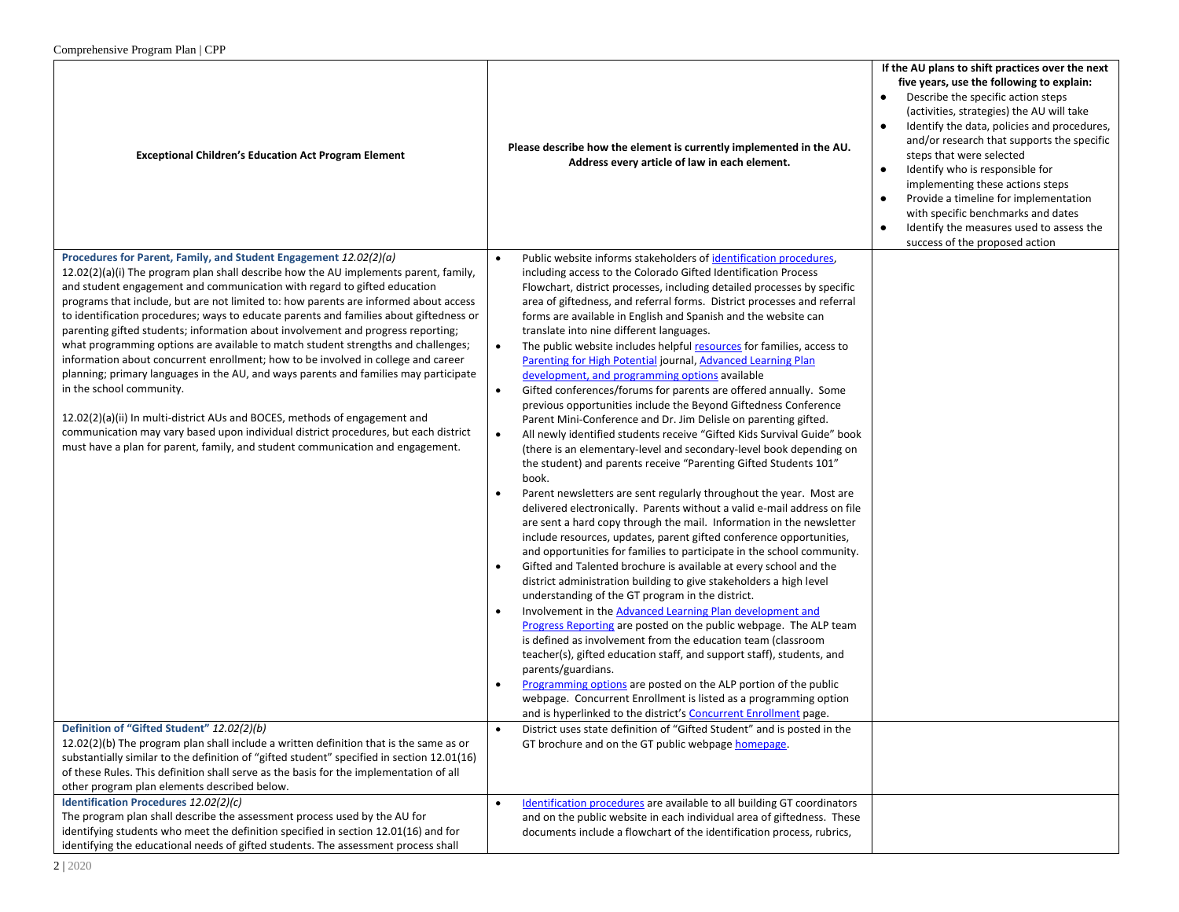| <b>Exceptional Children's Education Act Program Element</b>                                                                                                                                                                                                                                                                                                                                                                                                                                                                                                                                                                                                                                                                                                                                                                                                                                                                                                                                                                                                        | Please describe how the element is currently implemented in the AU.<br>Address every article of law in each element.                                                                                                                                                                                                                                                                                                                                                                                                                                                                                                                                                                                                                                                                                                                                                                                                                                                                                                                                                                                                                                                                                                                                                                                                                                                                                                                                                                                                                                                                                                                                                                                                                                                                                                                                                                                                                                                                                                                                                                                                                                                      | If the AU plans to shift practices over the next<br>five years, use the following to explain:<br>Describe the specific action steps<br>(activities, strategies) the AU will take<br>Identify the data, policies and procedures,<br>and/or research that supports the specific<br>steps that were selected<br>Identify who is responsible for<br>$\bullet$<br>implementing these actions steps<br>Provide a timeline for implementation<br>$\bullet$<br>with specific benchmarks and dates<br>Identify the measures used to assess the<br>$\bullet$<br>success of the proposed action |
|--------------------------------------------------------------------------------------------------------------------------------------------------------------------------------------------------------------------------------------------------------------------------------------------------------------------------------------------------------------------------------------------------------------------------------------------------------------------------------------------------------------------------------------------------------------------------------------------------------------------------------------------------------------------------------------------------------------------------------------------------------------------------------------------------------------------------------------------------------------------------------------------------------------------------------------------------------------------------------------------------------------------------------------------------------------------|---------------------------------------------------------------------------------------------------------------------------------------------------------------------------------------------------------------------------------------------------------------------------------------------------------------------------------------------------------------------------------------------------------------------------------------------------------------------------------------------------------------------------------------------------------------------------------------------------------------------------------------------------------------------------------------------------------------------------------------------------------------------------------------------------------------------------------------------------------------------------------------------------------------------------------------------------------------------------------------------------------------------------------------------------------------------------------------------------------------------------------------------------------------------------------------------------------------------------------------------------------------------------------------------------------------------------------------------------------------------------------------------------------------------------------------------------------------------------------------------------------------------------------------------------------------------------------------------------------------------------------------------------------------------------------------------------------------------------------------------------------------------------------------------------------------------------------------------------------------------------------------------------------------------------------------------------------------------------------------------------------------------------------------------------------------------------------------------------------------------------------------------------------------------------|--------------------------------------------------------------------------------------------------------------------------------------------------------------------------------------------------------------------------------------------------------------------------------------------------------------------------------------------------------------------------------------------------------------------------------------------------------------------------------------------------------------------------------------------------------------------------------------|
| Procedures for Parent, Family, and Student Engagement 12.02(2)(a)<br>12.02(2)(a)(i) The program plan shall describe how the AU implements parent, family,<br>and student engagement and communication with regard to gifted education<br>programs that include, but are not limited to: how parents are informed about access<br>to identification procedures; ways to educate parents and families about giftedness or<br>parenting gifted students; information about involvement and progress reporting;<br>what programming options are available to match student strengths and challenges;<br>information about concurrent enrollment; how to be involved in college and career<br>planning; primary languages in the AU, and ways parents and families may participate<br>in the school community.<br>$12.02(2)(a)(ii)$ In multi-district AUs and BOCES, methods of engagement and<br>communication may vary based upon individual district procedures, but each district<br>must have a plan for parent, family, and student communication and engagement. | Public website informs stakeholders of identification procedures,<br>including access to the Colorado Gifted Identification Process<br>Flowchart, district processes, including detailed processes by specific<br>area of giftedness, and referral forms. District processes and referral<br>forms are available in English and Spanish and the website can<br>translate into nine different languages.<br>The public website includes helpful resources for families, access to<br>$\bullet$<br>Parenting for High Potential journal, Advanced Learning Plan<br>development, and programming options available<br>Gifted conferences/forums for parents are offered annually. Some<br>$\bullet$<br>previous opportunities include the Beyond Giftedness Conference<br>Parent Mini-Conference and Dr. Jim Delisle on parenting gifted.<br>All newly identified students receive "Gifted Kids Survival Guide" book<br>$\bullet$<br>(there is an elementary-level and secondary-level book depending on<br>the student) and parents receive "Parenting Gifted Students 101"<br>book.<br>Parent newsletters are sent regularly throughout the year. Most are<br>delivered electronically. Parents without a valid e-mail address on file<br>are sent a hard copy through the mail. Information in the newsletter<br>include resources, updates, parent gifted conference opportunities,<br>and opportunities for families to participate in the school community.<br>Gifted and Talented brochure is available at every school and the<br>district administration building to give stakeholders a high level<br>understanding of the GT program in the district.<br>Involvement in the Advanced Learning Plan development and<br>Progress Reporting are posted on the public webpage. The ALP team<br>is defined as involvement from the education team (classroom<br>teacher(s), gifted education staff, and support staff), students, and<br>parents/guardians.<br>Programming options are posted on the ALP portion of the public<br>webpage. Concurrent Enrollment is listed as a programming option<br>and is hyperlinked to the district's Concurrent Enrollment page. |                                                                                                                                                                                                                                                                                                                                                                                                                                                                                                                                                                                      |
| Definition of "Gifted Student" 12.02(2)(b)<br>12.02(2)(b) The program plan shall include a written definition that is the same as or<br>substantially similar to the definition of "gifted student" specified in section 12.01(16)<br>of these Rules. This definition shall serve as the basis for the implementation of all<br>other program plan elements described below.                                                                                                                                                                                                                                                                                                                                                                                                                                                                                                                                                                                                                                                                                       | District uses state definition of "Gifted Student" and is posted in the<br>GT brochure and on the GT public webpage homepage.                                                                                                                                                                                                                                                                                                                                                                                                                                                                                                                                                                                                                                                                                                                                                                                                                                                                                                                                                                                                                                                                                                                                                                                                                                                                                                                                                                                                                                                                                                                                                                                                                                                                                                                                                                                                                                                                                                                                                                                                                                             |                                                                                                                                                                                                                                                                                                                                                                                                                                                                                                                                                                                      |
| Identification Procedures 12.02(2)(c)<br>The program plan shall describe the assessment process used by the AU for<br>identifying students who meet the definition specified in section 12.01(16) and for<br>identifying the educational needs of gifted students. The assessment process shall                                                                                                                                                                                                                                                                                                                                                                                                                                                                                                                                                                                                                                                                                                                                                                    | Identification procedures are available to all building GT coordinators<br>$\bullet$<br>and on the public website in each individual area of giftedness. These<br>documents include a flowchart of the identification process, rubrics,                                                                                                                                                                                                                                                                                                                                                                                                                                                                                                                                                                                                                                                                                                                                                                                                                                                                                                                                                                                                                                                                                                                                                                                                                                                                                                                                                                                                                                                                                                                                                                                                                                                                                                                                                                                                                                                                                                                                   |                                                                                                                                                                                                                                                                                                                                                                                                                                                                                                                                                                                      |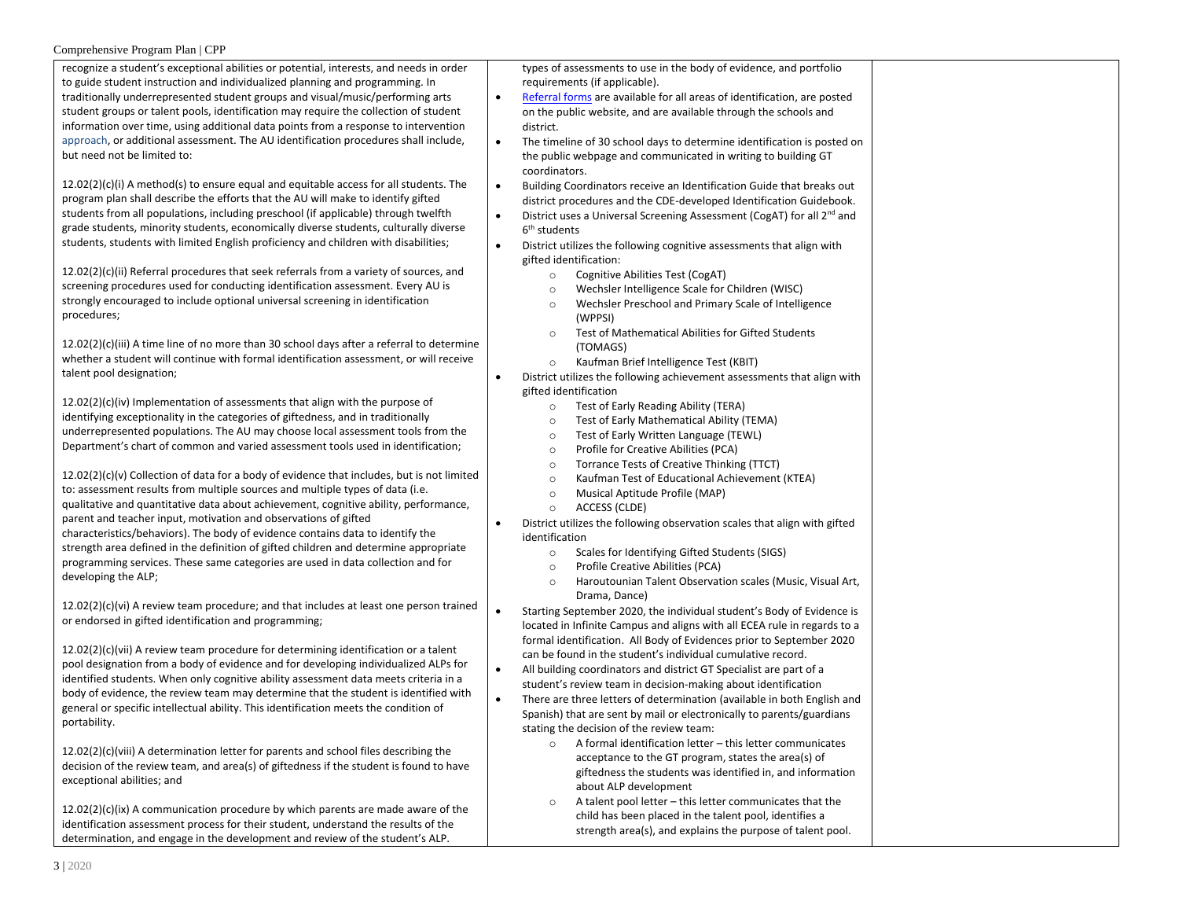| $\frac{1}{2}$<br>recognize a student's exceptional abilities or potential, interests, and needs in order<br>to guide student instruction and individualized planning and programming. In<br>traditionally underrepresented student groups and visual/music/performing arts<br>student groups or talent pools, identification may require the collection of student<br>information over time, using additional data points from a response to intervention<br>approach, or additional assessment. The AU identification procedures shall include,<br>but need not be limited to:<br>$12.02(2)(c)(i)$ A method(s) to ensure equal and equitable access for all students. The | types of assessments to use in the body of evidence, and portfolio<br>requirements (if applicable).<br>Referral forms are available for all areas of identification, are posted<br>$\bullet$<br>on the public website, and are available through the schools and<br>district.<br>$\bullet$<br>The timeline of 30 school days to determine identification is posted on<br>the public webpage and communicated in writing to building GT<br>coordinators.<br>Building Coordinators receive an Identification Guide that breaks out<br>$\bullet$ |
|----------------------------------------------------------------------------------------------------------------------------------------------------------------------------------------------------------------------------------------------------------------------------------------------------------------------------------------------------------------------------------------------------------------------------------------------------------------------------------------------------------------------------------------------------------------------------------------------------------------------------------------------------------------------------|-----------------------------------------------------------------------------------------------------------------------------------------------------------------------------------------------------------------------------------------------------------------------------------------------------------------------------------------------------------------------------------------------------------------------------------------------------------------------------------------------------------------------------------------------|
| program plan shall describe the efforts that the AU will make to identify gifted<br>students from all populations, including preschool (if applicable) through twelfth                                                                                                                                                                                                                                                                                                                                                                                                                                                                                                     | district procedures and the CDE-developed Identification Guidebook.<br>District uses a Universal Screening Assessment (CogAT) for all 2 <sup>nd</sup> and                                                                                                                                                                                                                                                                                                                                                                                     |
| grade students, minority students, economically diverse students, culturally diverse                                                                                                                                                                                                                                                                                                                                                                                                                                                                                                                                                                                       | 6 <sup>th</sup> students                                                                                                                                                                                                                                                                                                                                                                                                                                                                                                                      |
| students, students with limited English proficiency and children with disabilities;                                                                                                                                                                                                                                                                                                                                                                                                                                                                                                                                                                                        | $\bullet$<br>District utilizes the following cognitive assessments that align with<br>gifted identification:                                                                                                                                                                                                                                                                                                                                                                                                                                  |
| $12.02(2)(c)(ii)$ Referral procedures that seek referrals from a variety of sources, and<br>screening procedures used for conducting identification assessment. Every AU is<br>strongly encouraged to include optional universal screening in identification<br>procedures;                                                                                                                                                                                                                                                                                                                                                                                                | Cognitive Abilities Test (CogAT)<br>$\circ$<br>Wechsler Intelligence Scale for Children (WISC)<br>$\circ$<br>Wechsler Preschool and Primary Scale of Intelligence<br>$\circ$<br>(WPPSI)                                                                                                                                                                                                                                                                                                                                                       |
| $12.02(2)(c)(iii)$ A time line of no more than 30 school days after a referral to determine<br>whether a student will continue with formal identification assessment, or will receive<br>talent pool designation;                                                                                                                                                                                                                                                                                                                                                                                                                                                          | Test of Mathematical Abilities for Gifted Students<br>$\circ$<br>(TOMAGS)<br>Kaufman Brief Intelligence Test (KBIT)<br>$\circ$<br>District utilizes the following achievement assessments that align with                                                                                                                                                                                                                                                                                                                                     |
| 12.02(2)(c)(iv) Implementation of assessments that align with the purpose of<br>identifying exceptionality in the categories of giftedness, and in traditionally<br>underrepresented populations. The AU may choose local assessment tools from the<br>Department's chart of common and varied assessment tools used in identification;                                                                                                                                                                                                                                                                                                                                    | gifted identification<br>Test of Early Reading Ability (TERA)<br>$\circ$<br>Test of Early Mathematical Ability (TEMA)<br>$\circ$<br>Test of Early Written Language (TEWL)<br>$\circ$<br>Profile for Creative Abilities (PCA)<br>$\circ$<br>Torrance Tests of Creative Thinking (TTCT)                                                                                                                                                                                                                                                         |
| $12.02(2)(c)(v)$ Collection of data for a body of evidence that includes, but is not limited<br>to: assessment results from multiple sources and multiple types of data (i.e.<br>qualitative and quantitative data about achievement, cognitive ability, performance,<br>parent and teacher input, motivation and observations of gifted<br>characteristics/behaviors). The body of evidence contains data to identify the<br>strength area defined in the definition of gifted children and determine appropriate<br>programming services. These same categories are used in data collection and for<br>developing the ALP;                                               | $\circ$<br>Kaufman Test of Educational Achievement (KTEA)<br>$\circ$<br>Musical Aptitude Profile (MAP)<br>$\circ$<br>ACCESS (CLDE)<br>$\circ$<br>District utilizes the following observation scales that align with gifted<br>identification<br>Scales for Identifying Gifted Students (SIGS)<br>$\circ$<br>Profile Creative Abilities (PCA)<br>$\circ$                                                                                                                                                                                       |
| $12.02(2)(c)(vi)$ A review team procedure; and that includes at least one person trained<br>or endorsed in gifted identification and programming;                                                                                                                                                                                                                                                                                                                                                                                                                                                                                                                          | Haroutounian Talent Observation scales (Music, Visual Art,<br>$\circ$<br>Drama, Dance)<br>Starting September 2020, the individual student's Body of Evidence is<br>located in Infinite Campus and aligns with all ECEA rule in regards to a                                                                                                                                                                                                                                                                                                   |
| $12.02(2)(c)(vii)$ A review team procedure for determining identification or a talent<br>pool designation from a body of evidence and for developing individualized ALPs for<br>identified students. When only cognitive ability assessment data meets criteria in a<br>body of evidence, the review team may determine that the student is identified with<br>general or specific intellectual ability. This identification meets the condition of<br>portability.                                                                                                                                                                                                        | formal identification. All Body of Evidences prior to September 2020<br>can be found in the student's individual cumulative record.<br>All building coordinators and district GT Specialist are part of a<br>$\bullet$<br>student's review team in decision-making about identification<br>There are three letters of determination (available in both English and<br>Spanish) that are sent by mail or electronically to parents/guardians                                                                                                   |
| $12.02(2)(c)(viii)$ A determination letter for parents and school files describing the<br>decision of the review team, and area(s) of giftedness if the student is found to have<br>exceptional abilities; and<br>$12.02(2)(c)(ix)$ A communication procedure by which parents are made aware of the                                                                                                                                                                                                                                                                                                                                                                       | stating the decision of the review team:<br>A formal identification letter - this letter communicates<br>$\circ$<br>acceptance to the GT program, states the area(s) of<br>giftedness the students was identified in, and information<br>about ALP development<br>A talent pool letter - this letter communicates that the<br>$\circ$                                                                                                                                                                                                         |
| identification assessment process for their student, understand the results of the<br>determination, and engage in the development and review of the student's ALP.                                                                                                                                                                                                                                                                                                                                                                                                                                                                                                        | child has been placed in the talent pool, identifies a<br>strength area(s), and explains the purpose of talent pool.                                                                                                                                                                                                                                                                                                                                                                                                                          |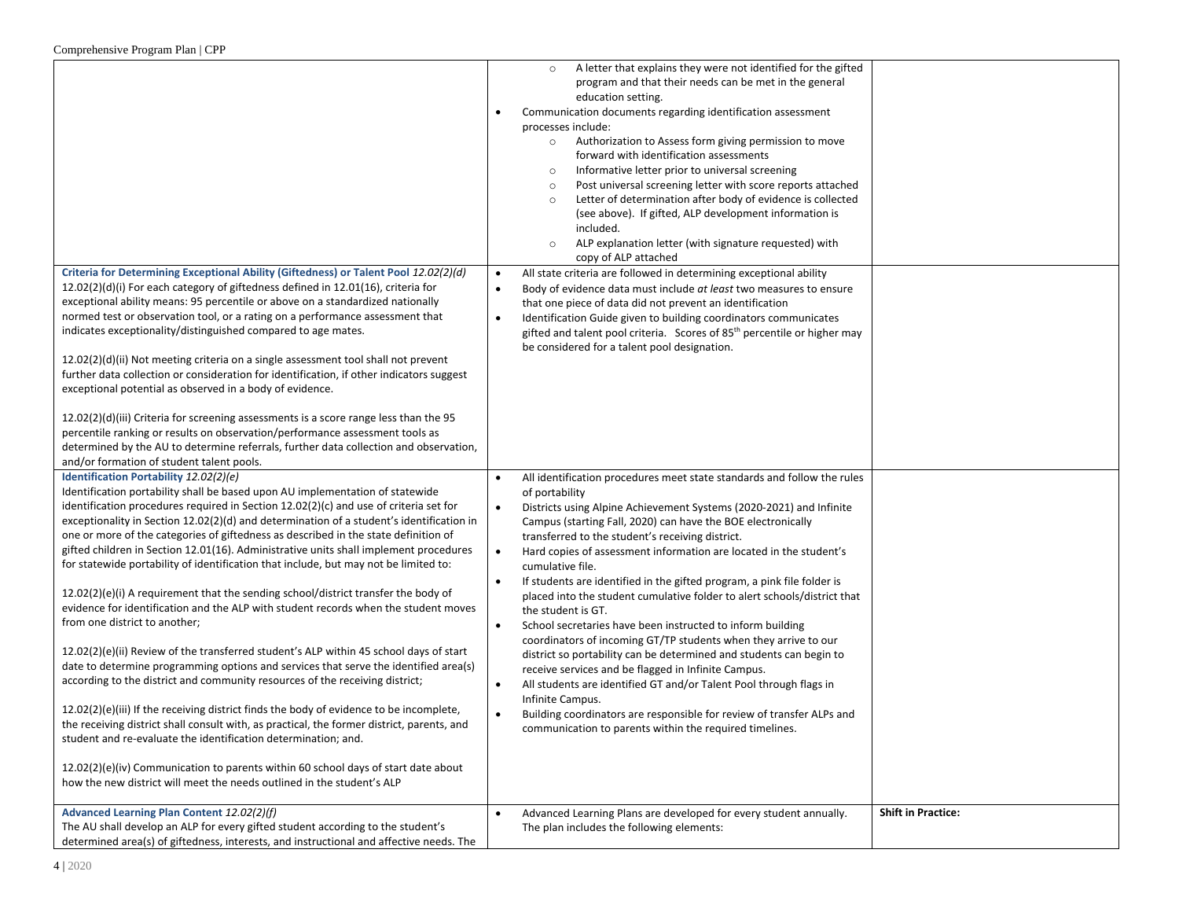|                                                                                                                                                                                                                                                                                                                                                                                                                                                                                                                                                                                                                                                                                                                                                                                                                                                                                                           | A letter that explains they were not identified for the gifted<br>$\circ$<br>program and that their needs can be met in the general<br>education setting.<br>Communication documents regarding identification assessment<br>processes include:<br>Authorization to Assess form giving permission to move<br>$\circ$<br>forward with identification assessments<br>Informative letter prior to universal screening<br>$\circ$<br>Post universal screening letter with score reports attached<br>$\circ$<br>Letter of determination after body of evidence is collected<br>$\circ$<br>(see above). If gifted, ALP development information is<br>included.<br>ALP explanation letter (with signature requested) with<br>$\circ$ |                           |
|-----------------------------------------------------------------------------------------------------------------------------------------------------------------------------------------------------------------------------------------------------------------------------------------------------------------------------------------------------------------------------------------------------------------------------------------------------------------------------------------------------------------------------------------------------------------------------------------------------------------------------------------------------------------------------------------------------------------------------------------------------------------------------------------------------------------------------------------------------------------------------------------------------------|------------------------------------------------------------------------------------------------------------------------------------------------------------------------------------------------------------------------------------------------------------------------------------------------------------------------------------------------------------------------------------------------------------------------------------------------------------------------------------------------------------------------------------------------------------------------------------------------------------------------------------------------------------------------------------------------------------------------------|---------------------------|
| Criteria for Determining Exceptional Ability (Giftedness) or Talent Pool 12.02(2)(d)<br>$12.02(2)(d)(i)$ For each category of giftedness defined in $12.01(16)$ , criteria for<br>exceptional ability means: 95 percentile or above on a standardized nationally<br>normed test or observation tool, or a rating on a performance assessment that<br>indicates exceptionality/distinguished compared to age mates.<br>$12.02(2)(d)(ii)$ Not meeting criteria on a single assessment tool shall not prevent<br>further data collection or consideration for identification, if other indicators suggest<br>exceptional potential as observed in a body of evidence.<br>$12.02(2)(d)(iii)$ Criteria for screening assessments is a score range less than the 95<br>percentile ranking or results on observation/performance assessment tools as                                                             | copy of ALP attached<br>All state criteria are followed in determining exceptional ability<br>$\bullet$<br>Body of evidence data must include at least two measures to ensure<br>$\bullet$<br>that one piece of data did not prevent an identification<br>Identification Guide given to building coordinators communicates<br>$\bullet$<br>gifted and talent pool criteria. Scores of 85 <sup>th</sup> percentile or higher may<br>be considered for a talent pool designation.                                                                                                                                                                                                                                              |                           |
| determined by the AU to determine referrals, further data collection and observation,<br>and/or formation of student talent pools.<br>Identification Portability 12.02(2)(e)<br>Identification portability shall be based upon AU implementation of statewide<br>identification procedures required in Section 12.02(2)(c) and use of criteria set for<br>exceptionality in Section 12.02(2)(d) and determination of a student's identification in<br>one or more of the categories of giftedness as described in the state definition of<br>gifted children in Section 12.01(16). Administrative units shall implement procedures<br>for statewide portability of identification that include, but may not be limited to:<br>$12.02(2)(e)(i)$ A requirement that the sending school/district transfer the body of<br>evidence for identification and the ALP with student records when the student moves | All identification procedures meet state standards and follow the rules<br>$\bullet$<br>of portability<br>$\bullet$<br>Districts using Alpine Achievement Systems (2020-2021) and Infinite<br>Campus (starting Fall, 2020) can have the BOE electronically<br>transferred to the student's receiving district.<br>$\bullet$<br>Hard copies of assessment information are located in the student's<br>cumulative file.<br>If students are identified in the gifted program, a pink file folder is<br>$\bullet$<br>placed into the student cumulative folder to alert schools/district that                                                                                                                                    |                           |
| from one district to another;<br>12.02(2)(e)(ii) Review of the transferred student's ALP within 45 school days of start<br>date to determine programming options and services that serve the identified area(s)<br>according to the district and community resources of the receiving district;<br>12.02(2)(e)(iii) If the receiving district finds the body of evidence to be incomplete,<br>the receiving district shall consult with, as practical, the former district, parents, and<br>student and re-evaluate the identification determination; and.<br>12.02(2)(e)(iv) Communication to parents within 60 school days of start date about<br>how the new district will meet the needs outlined in the student's ALP                                                                                                                                                                                | the student is GT.<br>School secretaries have been instructed to inform building<br>$\bullet$<br>coordinators of incoming GT/TP students when they arrive to our<br>district so portability can be determined and students can begin to<br>receive services and be flagged in Infinite Campus.<br>All students are identified GT and/or Talent Pool through flags in<br>$\bullet$<br>Infinite Campus.<br>Building coordinators are responsible for review of transfer ALPs and<br>$\bullet$<br>communication to parents within the required timelines.                                                                                                                                                                       |                           |
| Advanced Learning Plan Content 12.02(2)(f)<br>The AU shall develop an ALP for every gifted student according to the student's<br>determined area(s) of giftedness, interests, and instructional and affective needs. The                                                                                                                                                                                                                                                                                                                                                                                                                                                                                                                                                                                                                                                                                  | Advanced Learning Plans are developed for every student annually.<br>$\bullet$<br>The plan includes the following elements:                                                                                                                                                                                                                                                                                                                                                                                                                                                                                                                                                                                                  | <b>Shift in Practice:</b> |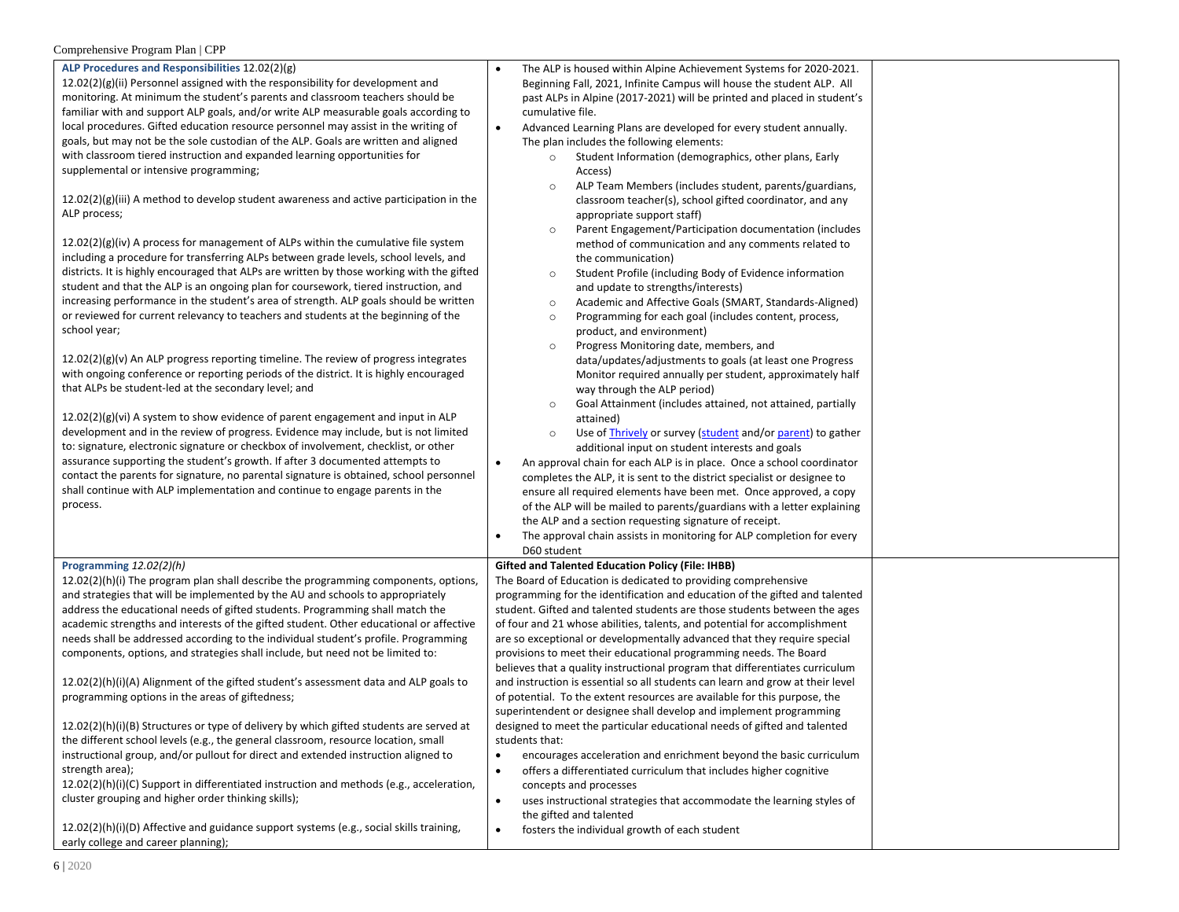| ALP Procedures and Responsibilities 12.02(2)(g)<br>12.02(2)(g)(ii) Personnel assigned with the responsibility for development and<br>monitoring. At minimum the student's parents and classroom teachers should be<br>familiar with and support ALP goals, and/or write ALP measurable goals according to<br>local procedures. Gifted education resource personnel may assist in the writing of<br>goals, but may not be the sole custodian of the ALP. Goals are written and aligned<br>with classroom tiered instruction and expanded learning opportunities for<br>supplemental or intensive programming;<br>$12.02(2)(g)(iii)$ A method to develop student awareness and active participation in the<br>ALP process;<br>$12.02(2)(g)(iv)$ A process for management of ALPs within the cumulative file system<br>including a procedure for transferring ALPs between grade levels, school levels, and<br>districts. It is highly encouraged that ALPs are written by those working with the gifted<br>student and that the ALP is an ongoing plan for coursework, tiered instruction, and<br>increasing performance in the student's area of strength. ALP goals should be written<br>or reviewed for current relevancy to teachers and students at the beginning of the<br>school year;<br>$12.02(2)(g)(v)$ An ALP progress reporting timeline. The review of progress integrates<br>with ongoing conference or reporting periods of the district. It is highly encouraged<br>that ALPs be student-led at the secondary level; and<br>$12.02(2)(g)(vi)$ A system to show evidence of parent engagement and input in ALP<br>development and in the review of progress. Evidence may include, but is not limited<br>to: signature, electronic signature or checkbox of involvement, checklist, or other<br>assurance supporting the student's growth. If after 3 documented attempts to<br>contact the parents for signature, no parental signature is obtained, school personnel<br>shall continue with ALP implementation and continue to engage parents in the<br>process. | The ALP is housed within Alpine Achievement Systems for 2020-2021.<br>Beginning Fall, 2021, Infinite Campus will house the student ALP. All<br>past ALPs in Alpine (2017-2021) will be printed and placed in student's<br>cumulative file.<br>Advanced Learning Plans are developed for every student annually.<br>$\bullet$<br>The plan includes the following elements:<br>Student Information (demographics, other plans, Early<br>$\circ$<br>Access)<br>ALP Team Members (includes student, parents/guardians,<br>$\circ$<br>classroom teacher(s), school gifted coordinator, and any<br>appropriate support staff)<br>Parent Engagement/Participation documentation (includes<br>$\circ$<br>method of communication and any comments related to<br>the communication)<br>Student Profile (including Body of Evidence information<br>$\circ$<br>and update to strengths/interests)<br>Academic and Affective Goals (SMART, Standards-Aligned)<br>$\circ$<br>Programming for each goal (includes content, process,<br>$\circ$<br>product, and environment)<br>Progress Monitoring date, members, and<br>$\circ$<br>data/updates/adjustments to goals (at least one Progress<br>Monitor required annually per student, approximately half<br>way through the ALP period)<br>Goal Attainment (includes attained, not attained, partially<br>$\circ$<br>attained)<br>Use of Thrively or survey (student and/or parent) to gather<br>$\circ$<br>additional input on student interests and goals<br>An approval chain for each ALP is in place. Once a school coordinator<br>$\bullet$<br>completes the ALP, it is sent to the district specialist or designee to<br>ensure all required elements have been met. Once approved, a copy<br>of the ALP will be mailed to parents/guardians with a letter explaining<br>the ALP and a section requesting signature of receipt.<br>The approval chain assists in monitoring for ALP completion for every |
|---------------------------------------------------------------------------------------------------------------------------------------------------------------------------------------------------------------------------------------------------------------------------------------------------------------------------------------------------------------------------------------------------------------------------------------------------------------------------------------------------------------------------------------------------------------------------------------------------------------------------------------------------------------------------------------------------------------------------------------------------------------------------------------------------------------------------------------------------------------------------------------------------------------------------------------------------------------------------------------------------------------------------------------------------------------------------------------------------------------------------------------------------------------------------------------------------------------------------------------------------------------------------------------------------------------------------------------------------------------------------------------------------------------------------------------------------------------------------------------------------------------------------------------------------------------------------------------------------------------------------------------------------------------------------------------------------------------------------------------------------------------------------------------------------------------------------------------------------------------------------------------------------------------------------------------------------------------------------------------------------------------------------------------------------------------------------------|----------------------------------------------------------------------------------------------------------------------------------------------------------------------------------------------------------------------------------------------------------------------------------------------------------------------------------------------------------------------------------------------------------------------------------------------------------------------------------------------------------------------------------------------------------------------------------------------------------------------------------------------------------------------------------------------------------------------------------------------------------------------------------------------------------------------------------------------------------------------------------------------------------------------------------------------------------------------------------------------------------------------------------------------------------------------------------------------------------------------------------------------------------------------------------------------------------------------------------------------------------------------------------------------------------------------------------------------------------------------------------------------------------------------------------------------------------------------------------------------------------------------------------------------------------------------------------------------------------------------------------------------------------------------------------------------------------------------------------------------------------------------------------------------------------------------------------------------------------------------------------------------------------------------------------------------------|
| Programming $12.02(2)(h)$                                                                                                                                                                                                                                                                                                                                                                                                                                                                                                                                                                                                                                                                                                                                                                                                                                                                                                                                                                                                                                                                                                                                                                                                                                                                                                                                                                                                                                                                                                                                                                                                                                                                                                                                                                                                                                                                                                                                                                                                                                                       | D60 student<br><b>Gifted and Talented Education Policy (File: IHBB)</b>                                                                                                                                                                                                                                                                                                                                                                                                                                                                                                                                                                                                                                                                                                                                                                                                                                                                                                                                                                                                                                                                                                                                                                                                                                                                                                                                                                                                                                                                                                                                                                                                                                                                                                                                                                                                                                                                            |
| $12.02(2)(h)(i)$ The program plan shall describe the programming components, options,<br>and strategies that will be implemented by the AU and schools to appropriately<br>address the educational needs of gifted students. Programming shall match the<br>academic strengths and interests of the gifted student. Other educational or affective<br>needs shall be addressed according to the individual student's profile. Programming<br>components, options, and strategies shall include, but need not be limited to:<br>12.02(2)(h)(i)(A) Alignment of the gifted student's assessment data and ALP goals to<br>programming options in the areas of giftedness;<br>12.02(2)(h)(i)(B) Structures or type of delivery by which gifted students are served at<br>the different school levels (e.g., the general classroom, resource location, small<br>instructional group, and/or pullout for direct and extended instruction aligned to<br>strength area);<br>12.02(2)(h)(i)(C) Support in differentiated instruction and methods (e.g., acceleration,<br>cluster grouping and higher order thinking skills);<br>$12.02(2)(h)(i)(D)$ Affective and guidance support systems (e.g., social skills training,<br>early college and career planning);                                                                                                                                                                                                                                                                                                                                                                                                                                                                                                                                                                                                                                                                                                                                                                                                                         | The Board of Education is dedicated to providing comprehensive<br>programming for the identification and education of the gifted and talented<br>student. Gifted and talented students are those students between the ages<br>of four and 21 whose abilities, talents, and potential for accomplishment<br>are so exceptional or developmentally advanced that they require special<br>provisions to meet their educational programming needs. The Board<br>believes that a quality instructional program that differentiates curriculum<br>and instruction is essential so all students can learn and grow at their level<br>of potential. To the extent resources are available for this purpose, the<br>superintendent or designee shall develop and implement programming<br>designed to meet the particular educational needs of gifted and talented<br>students that:<br>encourages acceleration and enrichment beyond the basic curriculum<br>$\bullet$<br>offers a differentiated curriculum that includes higher cognitive<br>$\bullet$<br>concepts and processes<br>uses instructional strategies that accommodate the learning styles of<br>$\bullet$<br>the gifted and talented<br>fosters the individual growth of each student<br>$\bullet$                                                                                                                                                                                                                                                                                                                                                                                                                                                                                                                                                                                                                                                                                          |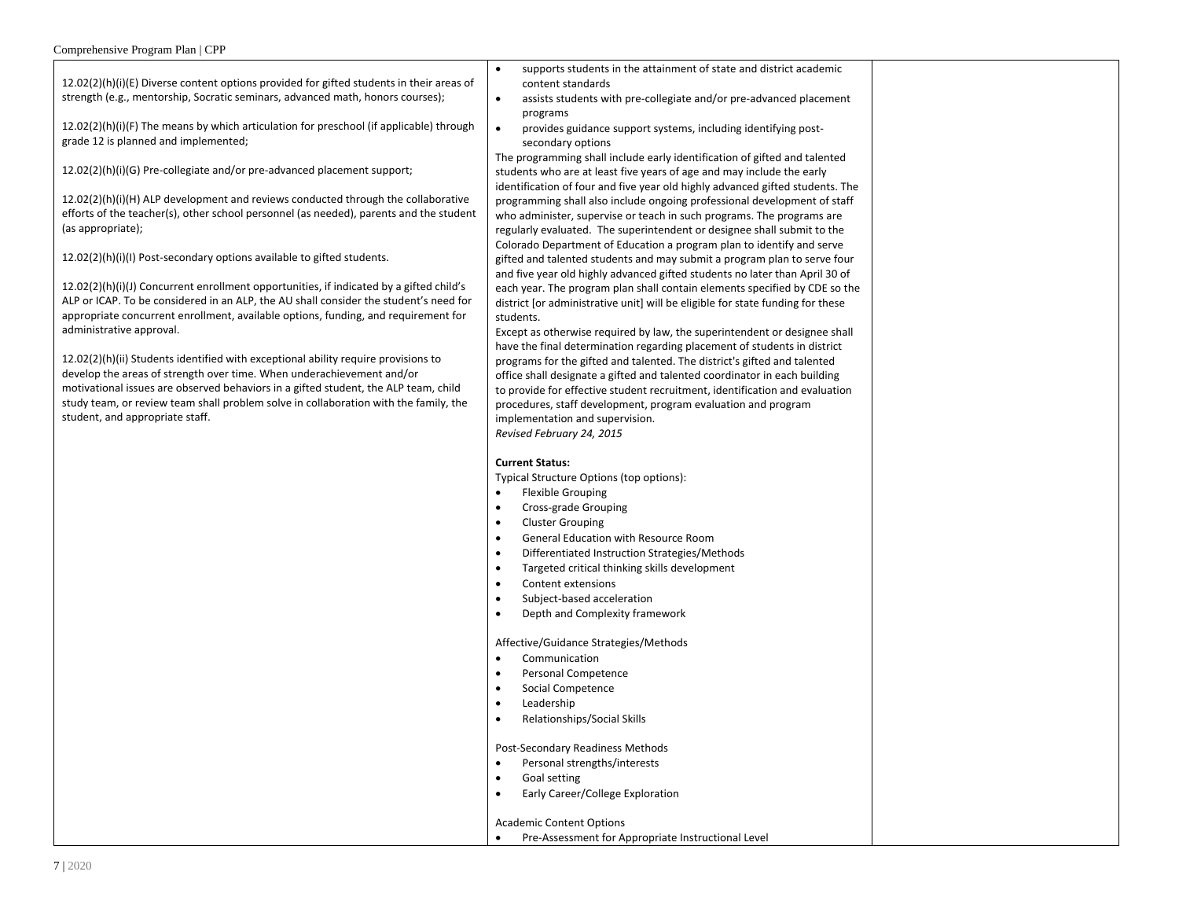| Comprenensive Program Pian   CPP                                                                                                                                                                                                                                                 |                                                                                                                                                                                                                                                                                                                                                                                               |  |
|----------------------------------------------------------------------------------------------------------------------------------------------------------------------------------------------------------------------------------------------------------------------------------|-----------------------------------------------------------------------------------------------------------------------------------------------------------------------------------------------------------------------------------------------------------------------------------------------------------------------------------------------------------------------------------------------|--|
| $12.02(2)(h)(i)(E)$ Diverse content options provided for gifted students in their areas of<br>strength (e.g., mentorship, Socratic seminars, advanced math, honors courses);                                                                                                     | supports students in the attainment of state and district academic<br>$\bullet$<br>content standards<br>assists students with pre-collegiate and/or pre-advanced placement<br>$\bullet$                                                                                                                                                                                                       |  |
| $12.02(2)(h)(i)(F)$ The means by which articulation for preschool (if applicable) through<br>grade 12 is planned and implemented;                                                                                                                                                | programs<br>provides guidance support systems, including identifying post-<br>$\bullet$<br>secondary options                                                                                                                                                                                                                                                                                  |  |
| 12.02(2)(h)(i)(G) Pre-collegiate and/or pre-advanced placement support;                                                                                                                                                                                                          | The programming shall include early identification of gifted and talented<br>students who are at least five years of age and may include the early<br>identification of four and five year old highly advanced gifted students. The                                                                                                                                                           |  |
| $12.02(2)(h)(i)(H)$ ALP development and reviews conducted through the collaborative<br>efforts of the teacher(s), other school personnel (as needed), parents and the student<br>(as appropriate);                                                                               | programming shall also include ongoing professional development of staff<br>who administer, supervise or teach in such programs. The programs are<br>regularly evaluated. The superintendent or designee shall submit to the<br>Colorado Department of Education a program plan to identify and serve                                                                                         |  |
| 12.02(2)(h)(i)(l) Post-secondary options available to gifted students.                                                                                                                                                                                                           | gifted and talented students and may submit a program plan to serve four<br>and five year old highly advanced gifted students no later than April 30 of                                                                                                                                                                                                                                       |  |
| $12.02(2)(h)(i)(j)$ Concurrent enrollment opportunities, if indicated by a gifted child's<br>ALP or ICAP. To be considered in an ALP, the AU shall consider the student's need for<br>appropriate concurrent enrollment, available options, funding, and requirement for         | each year. The program plan shall contain elements specified by CDE so the<br>district [or administrative unit] will be eligible for state funding for these<br>students.                                                                                                                                                                                                                     |  |
| administrative approval.<br>$12.02(2)(h)(ii)$ Students identified with exceptional ability require provisions to<br>develop the areas of strength over time. When underachievement and/or<br>motivational issues are observed behaviors in a gifted student, the ALP team, child | Except as otherwise required by law, the superintendent or designee shall<br>have the final determination regarding placement of students in district<br>programs for the gifted and talented. The district's gifted and talented<br>office shall designate a gifted and talented coordinator in each building<br>to provide for effective student recruitment, identification and evaluation |  |
| study team, or review team shall problem solve in collaboration with the family, the<br>student, and appropriate staff.                                                                                                                                                          | procedures, staff development, program evaluation and program<br>implementation and supervision.<br>Revised February 24, 2015                                                                                                                                                                                                                                                                 |  |
|                                                                                                                                                                                                                                                                                  | <b>Current Status:</b><br>Typical Structure Options (top options):                                                                                                                                                                                                                                                                                                                            |  |
|                                                                                                                                                                                                                                                                                  | <b>Flexible Grouping</b><br>Cross-grade Grouping<br>٠                                                                                                                                                                                                                                                                                                                                         |  |
|                                                                                                                                                                                                                                                                                  | <b>Cluster Grouping</b><br>$\bullet$                                                                                                                                                                                                                                                                                                                                                          |  |
|                                                                                                                                                                                                                                                                                  | General Education with Resource Room<br>$\bullet$                                                                                                                                                                                                                                                                                                                                             |  |
|                                                                                                                                                                                                                                                                                  | Differentiated Instruction Strategies/Methods<br>$\bullet$                                                                                                                                                                                                                                                                                                                                    |  |
|                                                                                                                                                                                                                                                                                  | Targeted critical thinking skills development<br>$\bullet$<br>Content extensions<br>$\bullet$                                                                                                                                                                                                                                                                                                 |  |
|                                                                                                                                                                                                                                                                                  | Subject-based acceleration<br>$\bullet$                                                                                                                                                                                                                                                                                                                                                       |  |
|                                                                                                                                                                                                                                                                                  | Depth and Complexity framework<br>$\bullet$                                                                                                                                                                                                                                                                                                                                                   |  |
|                                                                                                                                                                                                                                                                                  | Affective/Guidance Strategies/Methods                                                                                                                                                                                                                                                                                                                                                         |  |
|                                                                                                                                                                                                                                                                                  | Communication<br>$\bullet$                                                                                                                                                                                                                                                                                                                                                                    |  |
|                                                                                                                                                                                                                                                                                  | Personal Competence                                                                                                                                                                                                                                                                                                                                                                           |  |
|                                                                                                                                                                                                                                                                                  | Social Competence<br>$\bullet$                                                                                                                                                                                                                                                                                                                                                                |  |
|                                                                                                                                                                                                                                                                                  | Leadership<br>٠<br>Relationships/Social Skills                                                                                                                                                                                                                                                                                                                                                |  |
|                                                                                                                                                                                                                                                                                  | Post-Secondary Readiness Methods                                                                                                                                                                                                                                                                                                                                                              |  |
|                                                                                                                                                                                                                                                                                  | Personal strengths/interests                                                                                                                                                                                                                                                                                                                                                                  |  |
|                                                                                                                                                                                                                                                                                  | Goal setting<br>$\bullet$                                                                                                                                                                                                                                                                                                                                                                     |  |
|                                                                                                                                                                                                                                                                                  | Early Career/College Exploration<br>$\bullet$                                                                                                                                                                                                                                                                                                                                                 |  |
|                                                                                                                                                                                                                                                                                  | <b>Academic Content Options</b>                                                                                                                                                                                                                                                                                                                                                               |  |
|                                                                                                                                                                                                                                                                                  | Pre-Assessment for Appropriate Instructional Level                                                                                                                                                                                                                                                                                                                                            |  |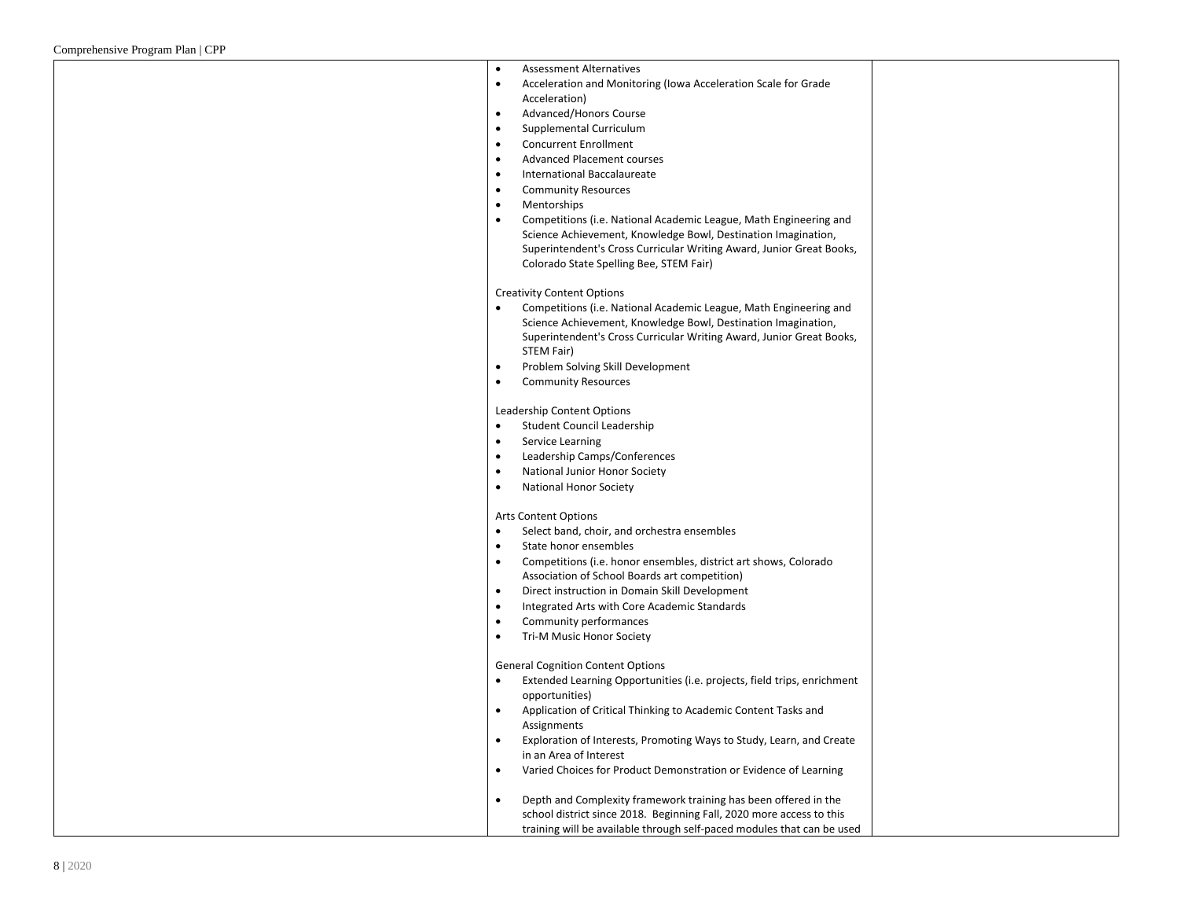| <b>Assessment Alternatives</b><br>$\bullet$                                          |  |
|--------------------------------------------------------------------------------------|--|
| Acceleration and Monitoring (Iowa Acceleration Scale for Grade<br>٠                  |  |
| Acceleration)                                                                        |  |
| Advanced/Honors Course<br>$\bullet$                                                  |  |
| Supplemental Curriculum<br>$\bullet$                                                 |  |
| <b>Concurrent Enrollment</b><br>$\bullet$                                            |  |
| <b>Advanced Placement courses</b><br>$\bullet$                                       |  |
| International Baccalaureate<br>$\bullet$                                             |  |
| <b>Community Resources</b><br>$\bullet$                                              |  |
| Mentorships<br>$\bullet$                                                             |  |
| Competitions (i.e. National Academic League, Math Engineering and<br>$\bullet$       |  |
| Science Achievement, Knowledge Bowl, Destination Imagination,                        |  |
| Superintendent's Cross Curricular Writing Award, Junior Great Books,                 |  |
| Colorado State Spelling Bee, STEM Fair)                                              |  |
| <b>Creativity Content Options</b>                                                    |  |
| Competitions (i.e. National Academic League, Math Engineering and<br>$\bullet$       |  |
| Science Achievement, Knowledge Bowl, Destination Imagination,                        |  |
| Superintendent's Cross Curricular Writing Award, Junior Great Books,                 |  |
| STEM Fair)                                                                           |  |
| Problem Solving Skill Development<br>$\bullet$                                       |  |
| <b>Community Resources</b><br>$\bullet$                                              |  |
|                                                                                      |  |
| Leadership Content Options                                                           |  |
| Student Council Leadership<br>$\bullet$                                              |  |
| Service Learning<br>$\bullet$                                                        |  |
| Leadership Camps/Conferences<br>٠                                                    |  |
| National Junior Honor Society<br>$\bullet$                                           |  |
| <b>National Honor Society</b><br>$\bullet$                                           |  |
|                                                                                      |  |
| <b>Arts Content Options</b>                                                          |  |
| Select band, choir, and orchestra ensembles<br>$\bullet$                             |  |
| State honor ensembles<br>٠                                                           |  |
| Competitions (i.e. honor ensembles, district art shows, Colorado<br>$\bullet$        |  |
| Association of School Boards art competition)                                        |  |
| Direct instruction in Domain Skill Development<br>$\bullet$                          |  |
| Integrated Arts with Core Academic Standards<br>$\bullet$                            |  |
| Community performances<br>$\bullet$                                                  |  |
| Tri-M Music Honor Society<br>$\bullet$                                               |  |
| <b>General Cognition Content Options</b>                                             |  |
| Extended Learning Opportunities (i.e. projects, field trips, enrichment<br>$\bullet$ |  |
| opportunities)                                                                       |  |
| Application of Critical Thinking to Academic Content Tasks and<br>$\bullet$          |  |
| Assignments                                                                          |  |
| Exploration of Interests, Promoting Ways to Study, Learn, and Create<br>$\bullet$    |  |
| in an Area of Interest                                                               |  |
| Varied Choices for Product Demonstration or Evidence of Learning<br>$\bullet$        |  |
|                                                                                      |  |
| Depth and Complexity framework training has been offered in the<br>$\bullet$         |  |
| school district since 2018. Beginning Fall, 2020 more access to this                 |  |
| training will be available through self-paced modules that can be used               |  |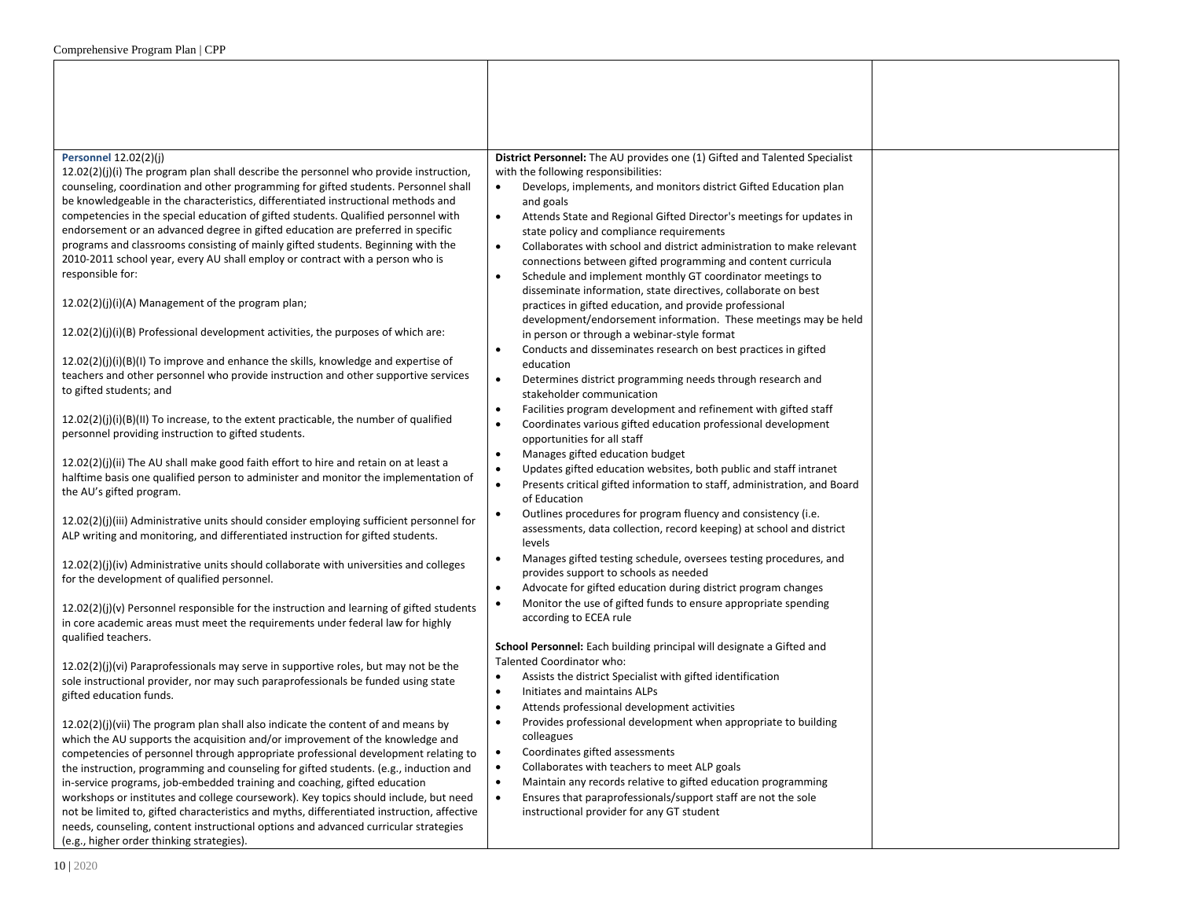| <b>Personnel 12.02(2)(j)</b>                                                                                                                                                       | District Personnel: The AU provides one (1) Gifted and Talented Specialist                                                     |  |
|------------------------------------------------------------------------------------------------------------------------------------------------------------------------------------|--------------------------------------------------------------------------------------------------------------------------------|--|
| $12.02(2)(j)(i)$ The program plan shall describe the personnel who provide instruction,                                                                                            | with the following responsibilities:                                                                                           |  |
| counseling, coordination and other programming for gifted students. Personnel shall                                                                                                | Develops, implements, and monitors district Gifted Education plan<br>$\bullet$                                                 |  |
| be knowledgeable in the characteristics, differentiated instructional methods and                                                                                                  | and goals                                                                                                                      |  |
| competencies in the special education of gifted students. Qualified personnel with                                                                                                 | Attends State and Regional Gifted Director's meetings for updates in                                                           |  |
| endorsement or an advanced degree in gifted education are preferred in specific<br>programs and classrooms consisting of mainly gifted students. Beginning with the                | state policy and compliance requirements                                                                                       |  |
| 2010-2011 school year, every AU shall employ or contract with a person who is                                                                                                      | Collaborates with school and district administration to make relevant<br>$\bullet$                                             |  |
| responsible for:                                                                                                                                                                   | connections between gifted programming and content curricula<br>Schedule and implement monthly GT coordinator meetings to      |  |
|                                                                                                                                                                                    | disseminate information, state directives, collaborate on best                                                                 |  |
| 12.02(2)(j)(i)(A) Management of the program plan;                                                                                                                                  | practices in gifted education, and provide professional                                                                        |  |
|                                                                                                                                                                                    | development/endorsement information. These meetings may be held                                                                |  |
| $12.02(2)(j)(i)(B)$ Professional development activities, the purposes of which are:                                                                                                | in person or through a webinar-style format                                                                                    |  |
|                                                                                                                                                                                    | Conducts and disseminates research on best practices in gifted<br>$\bullet$                                                    |  |
| 12.02(2)(j)(i)(B)(I) To improve and enhance the skills, knowledge and expertise of                                                                                                 | education                                                                                                                      |  |
| teachers and other personnel who provide instruction and other supportive services                                                                                                 | Determines district programming needs through research and<br>$\bullet$                                                        |  |
| to gifted students; and                                                                                                                                                            | stakeholder communication                                                                                                      |  |
| 12.02(2)(j)(i)(B)(II) To increase, to the extent practicable, the number of qualified                                                                                              | Facilities program development and refinement with gifted staff<br>$\bullet$                                                   |  |
| personnel providing instruction to gifted students.                                                                                                                                | Coordinates various gifted education professional development<br>$\bullet$                                                     |  |
|                                                                                                                                                                                    | opportunities for all staff                                                                                                    |  |
| $12.02(2)(j)(ii)$ The AU shall make good faith effort to hire and retain on at least a                                                                                             | Manages gifted education budget<br>$\bullet$<br>Updates gifted education websites, both public and staff intranet<br>$\bullet$ |  |
| halftime basis one qualified person to administer and monitor the implementation of                                                                                                | $\bullet$<br>Presents critical gifted information to staff, administration, and Board                                          |  |
| the AU's gifted program.                                                                                                                                                           | of Education                                                                                                                   |  |
|                                                                                                                                                                                    | Outlines procedures for program fluency and consistency (i.e.<br>$\bullet$                                                     |  |
| 12.02(2)(j)(iii) Administrative units should consider employing sufficient personnel for                                                                                           | assessments, data collection, record keeping) at school and district                                                           |  |
| ALP writing and monitoring, and differentiated instruction for gifted students.                                                                                                    | levels                                                                                                                         |  |
| 12.02(2)(j)(iv) Administrative units should collaborate with universities and colleges                                                                                             | Manages gifted testing schedule, oversees testing procedures, and                                                              |  |
| for the development of qualified personnel.                                                                                                                                        | provides support to schools as needed                                                                                          |  |
|                                                                                                                                                                                    | Advocate for gifted education during district program changes<br>$\bullet$                                                     |  |
| 12.02(2)(j)(v) Personnel responsible for the instruction and learning of gifted students                                                                                           | Monitor the use of gifted funds to ensure appropriate spending<br>$\bullet$                                                    |  |
| in core academic areas must meet the requirements under federal law for highly                                                                                                     | according to ECEA rule                                                                                                         |  |
| qualified teachers.                                                                                                                                                                | School Personnel: Each building principal will designate a Gifted and                                                          |  |
|                                                                                                                                                                                    | Talented Coordinator who:                                                                                                      |  |
| 12.02(2)(j)(vi) Paraprofessionals may serve in supportive roles, but may not be the<br>sole instructional provider, nor may such paraprofessionals be funded using state           | Assists the district Specialist with gifted identification                                                                     |  |
| gifted education funds.                                                                                                                                                            | Initiates and maintains ALPs<br>$\bullet$                                                                                      |  |
|                                                                                                                                                                                    | Attends professional development activities<br>$\bullet$                                                                       |  |
| 12.02(2)(j)(vii) The program plan shall also indicate the content of and means by                                                                                                  | Provides professional development when appropriate to building<br>$\bullet$                                                    |  |
| which the AU supports the acquisition and/or improvement of the knowledge and                                                                                                      | colleagues                                                                                                                     |  |
| competencies of personnel through appropriate professional development relating to                                                                                                 | Coordinates gifted assessments<br>$\bullet$                                                                                    |  |
| the instruction, programming and counseling for gifted students. (e.g., induction and                                                                                              | Collaborates with teachers to meet ALP goals<br>$\bullet$                                                                      |  |
| in-service programs, job-embedded training and coaching, gifted education                                                                                                          | Maintain any records relative to gifted education programming<br>$\bullet$<br>$\bullet$                                        |  |
| workshops or institutes and college coursework). Key topics should include, but need<br>not be limited to, gifted characteristics and myths, differentiated instruction, affective | Ensures that paraprofessionals/support staff are not the sole<br>instructional provider for any GT student                     |  |
| needs, counseling, content instructional options and advanced curricular strategies                                                                                                |                                                                                                                                |  |
| (e.g., higher order thinking strategies).                                                                                                                                          |                                                                                                                                |  |
|                                                                                                                                                                                    |                                                                                                                                |  |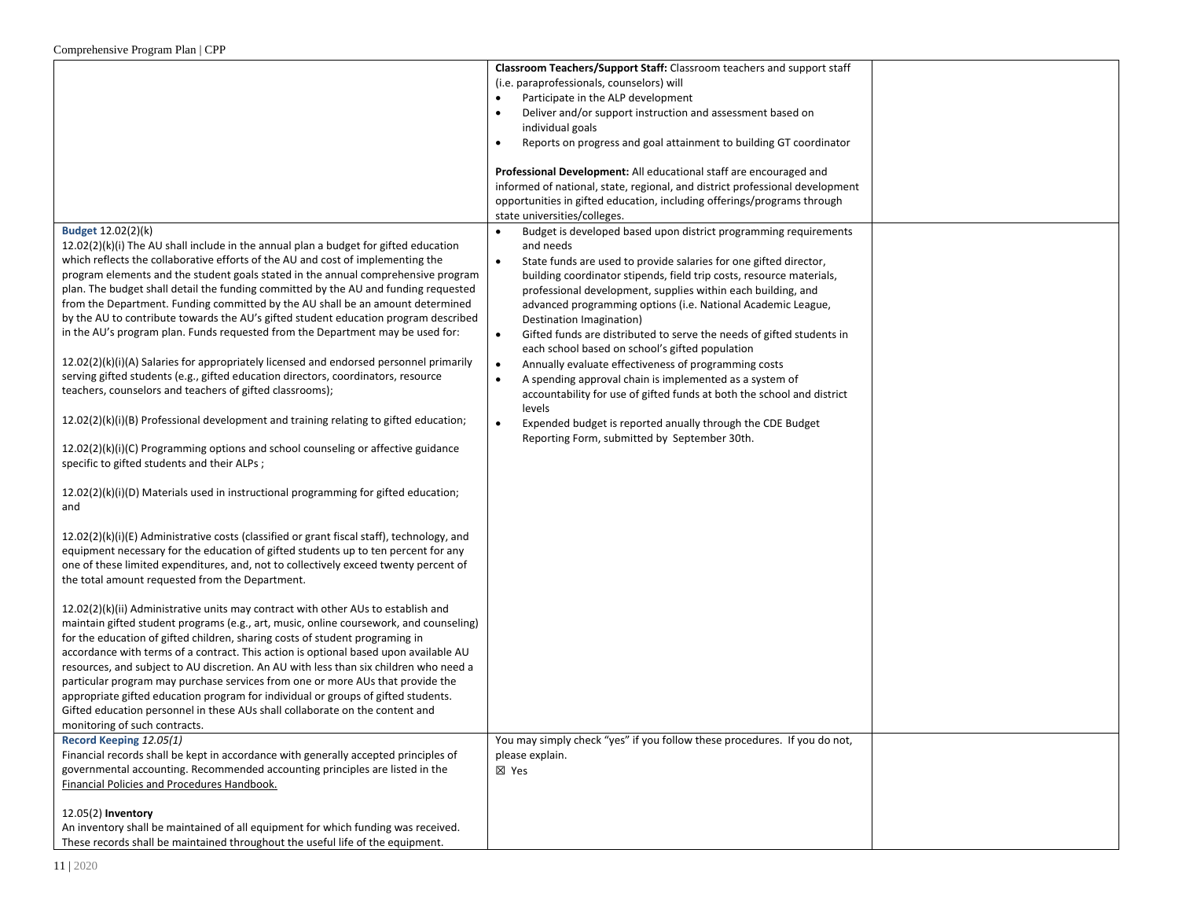|                                                                                              | Classroom Teachers/Support Staff: Classroom teachers and support staff             |  |
|----------------------------------------------------------------------------------------------|------------------------------------------------------------------------------------|--|
|                                                                                              | (i.e. paraprofessionals, counselors) will                                          |  |
|                                                                                              | Participate in the ALP development                                                 |  |
|                                                                                              | Deliver and/or support instruction and assessment based on                         |  |
|                                                                                              | individual goals                                                                   |  |
|                                                                                              | Reports on progress and goal attainment to building GT coordinator<br>$\bullet$    |  |
|                                                                                              |                                                                                    |  |
|                                                                                              | Professional Development: All educational staff are encouraged and                 |  |
|                                                                                              | informed of national, state, regional, and district professional development       |  |
|                                                                                              | opportunities in gifted education, including offerings/programs through            |  |
|                                                                                              | state universities/colleges.                                                       |  |
| Budget 12.02(2)(k)                                                                           | Budget is developed based upon district programming requirements<br>$\bullet$      |  |
| 12.02(2)(k)(i) The AU shall include in the annual plan a budget for gifted education         | and needs                                                                          |  |
| which reflects the collaborative efforts of the AU and cost of implementing the              | State funds are used to provide salaries for one gifted director,<br>$\bullet$     |  |
| program elements and the student goals stated in the annual comprehensive program            | building coordinator stipends, field trip costs, resource materials,               |  |
| plan. The budget shall detail the funding committed by the AU and funding requested          | professional development, supplies within each building, and                       |  |
| from the Department. Funding committed by the AU shall be an amount determined               | advanced programming options (i.e. National Academic League,                       |  |
| by the AU to contribute towards the AU's gifted student education program described          | Destination Imagination)                                                           |  |
| in the AU's program plan. Funds requested from the Department may be used for:               | Gifted funds are distributed to serve the needs of gifted students in<br>$\bullet$ |  |
|                                                                                              | each school based on school's gifted population                                    |  |
| $12.02(2)(k)(i)(A)$ Salaries for appropriately licensed and endorsed personnel primarily     | Annually evaluate effectiveness of programming costs<br>$\bullet$                  |  |
| serving gifted students (e.g., gifted education directors, coordinators, resource            | A spending approval chain is implemented as a system of                            |  |
| teachers, counselors and teachers of gifted classrooms);                                     | accountability for use of gifted funds at both the school and district             |  |
|                                                                                              | levels                                                                             |  |
| $12.02(2)(k)(i)(B)$ Professional development and training relating to gifted education;      | Expended budget is reported anually through the CDE Budget<br>$\bullet$            |  |
| $12.02(2)(k)(i)(C)$ Programming options and school counseling or affective guidance          | Reporting Form, submitted by September 30th.                                       |  |
| specific to gifted students and their ALPs;                                                  |                                                                                    |  |
|                                                                                              |                                                                                    |  |
| $12.02(2)(k)(i)(D)$ Materials used in instructional programming for gifted education;        |                                                                                    |  |
| and                                                                                          |                                                                                    |  |
|                                                                                              |                                                                                    |  |
| $12.02(2)(k)(i)(E)$ Administrative costs (classified or grant fiscal staff), technology, and |                                                                                    |  |
| equipment necessary for the education of gifted students up to ten percent for any           |                                                                                    |  |
| one of these limited expenditures, and, not to collectively exceed twenty percent of         |                                                                                    |  |
| the total amount requested from the Department.                                              |                                                                                    |  |
|                                                                                              |                                                                                    |  |
| 12.02(2)(k)(ii) Administrative units may contract with other AUs to establish and            |                                                                                    |  |
| maintain gifted student programs (e.g., art, music, online coursework, and counseling)       |                                                                                    |  |
| for the education of gifted children, sharing costs of student programing in                 |                                                                                    |  |
| accordance with terms of a contract. This action is optional based upon available AU         |                                                                                    |  |
| resources, and subject to AU discretion. An AU with less than six children who need a        |                                                                                    |  |
| particular program may purchase services from one or more AUs that provide the               |                                                                                    |  |
| appropriate gifted education program for individual or groups of gifted students.            |                                                                                    |  |
| Gifted education personnel in these AUs shall collaborate on the content and                 |                                                                                    |  |
| monitoring of such contracts.                                                                |                                                                                    |  |
| Record Keeping 12.05(1)                                                                      | You may simply check "yes" if you follow these procedures. If you do not,          |  |
| Financial records shall be kept in accordance with generally accepted principles of          | please explain.                                                                    |  |
| governmental accounting. Recommended accounting principles are listed in the                 | ⊠ Yes                                                                              |  |
| Financial Policies and Procedures Handbook.                                                  |                                                                                    |  |
|                                                                                              |                                                                                    |  |
| 12.05(2) Inventory                                                                           |                                                                                    |  |
| An inventory shall be maintained of all equipment for which funding was received.            |                                                                                    |  |
| These records shall be maintained throughout the useful life of the equipment.               |                                                                                    |  |